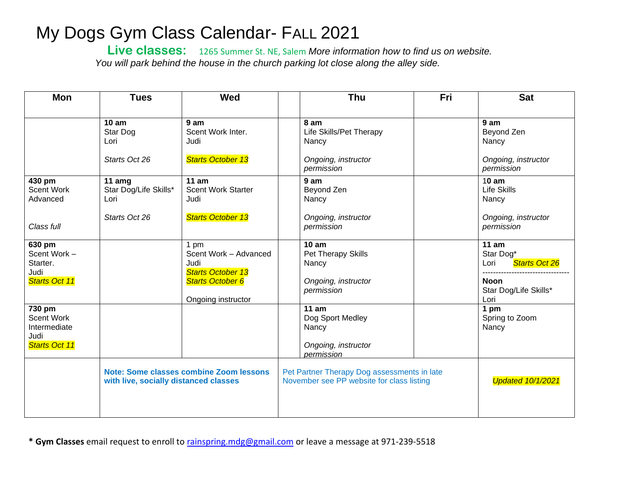## My Dogs Gym Class Calendar- FALL 2021

 **Live classes:** 1265 Summer St. NE, Salem *More information how to find us on website. You will park behind the house in the church parking lot close along the alley side.*

| <b>Mon</b>                                                           | <b>Tues</b>                                                                      | Wed                                                                                                                |                                                                                          | <b>Thu</b>                                                                    | Fri                      | <b>Sat</b>                                                                                  |
|----------------------------------------------------------------------|----------------------------------------------------------------------------------|--------------------------------------------------------------------------------------------------------------------|------------------------------------------------------------------------------------------|-------------------------------------------------------------------------------|--------------------------|---------------------------------------------------------------------------------------------|
|                                                                      |                                                                                  |                                                                                                                    |                                                                                          |                                                                               |                          |                                                                                             |
|                                                                      | 10 am<br>Star Dog<br>Lori<br>Starts Oct 26                                       | 9 am<br>Scent Work Inter.<br>Judi<br><b>Starts October 13</b>                                                      |                                                                                          | 8 am<br>Life Skills/Pet Therapy<br>Nancy<br>Ongoing, instructor<br>permission |                          | 9 am<br>Beyond Zen<br>Nancy<br>Ongoing, instructor<br>permission                            |
| 430 pm<br><b>Scent Work</b><br>Advanced<br>Class full                | 11 $\text{amg}$<br>Star Dog/Life Skills*<br>Lori<br>Starts Oct 26                | 11 am<br><b>Scent Work Starter</b><br>Judi<br><b>Starts October 13</b>                                             |                                                                                          | 9am<br>Beyond Zen<br>Nancy<br>Ongoing, instructor<br>permission               |                          | 10 am<br><b>Life Skills</b><br>Nancy<br>Ongoing, instructor<br>permission                   |
| 630 pm<br>Scent Work -<br>Starter.<br>Judi<br>Starts Oct 11          |                                                                                  | 1 pm<br>Scent Work - Advanced<br>Judi<br><b>Starts October 13</b><br><b>Starts October 6</b><br>Ongoing instructor |                                                                                          | 10 am<br>Pet Therapy Skills<br>Nancy<br>Ongoing, instructor<br>permission     |                          | 11 am<br>Star Dog*<br>Starts Oct 26<br>Lori<br><b>Noon</b><br>Star Dog/Life Skills*<br>Lori |
| 730 pm<br><b>Scent Work</b><br>Intermediate<br>Judi<br>Starts Oct 11 |                                                                                  |                                                                                                                    |                                                                                          | 11 am<br>Dog Sport Medley<br>Nancy<br>Ongoing, instructor<br>permission       |                          | 1 pm<br>Spring to Zoom<br>Nancy                                                             |
|                                                                      | Note: Some classes combine Zoom lessons<br>with live, socially distanced classes |                                                                                                                    | Pet Partner Therapy Dog assessments in late<br>November see PP website for class listing |                                                                               | <b>Updated 10/1/2021</b> |                                                                                             |

**\* Gym Classes** email request to enroll to [rainspring.mdg@gmail.com](mailto:rainspring.mdg@gmail.com) or leave a message at 971-239-5518